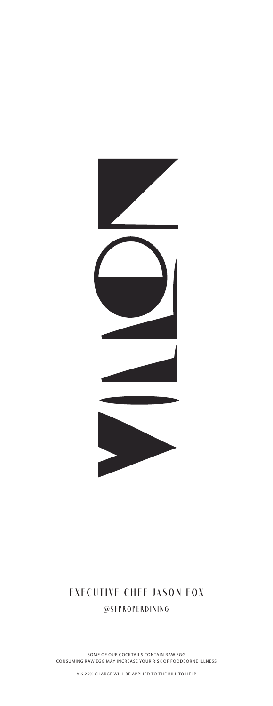

#### **EXECUTIVE CHEF JASON FOX @SFPROPERDINING**

SOME OF OUR COCKTAILS CONTAIN RAW EGG CONSUMING RAW EGG MAY INCREASE YOUR RISK OF FOODBORNE ILLNESS

A 6.25% CHARGE WILL BE APPLIED TO THE BILL TO HELP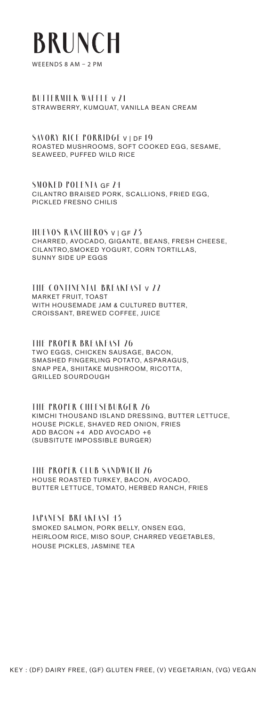# **BRUNCH**

WEEENDS 8 AM – 2 PM

#### **BUTTERMILK WAFFLE** V **21** STRAWBERRY, KUMQUAT, VANILLA BEAN CREAM

**SAVORY RICE PORRIDGE** V | DF **19** ROASTED MUSHROOMS, SOFT COOKED EGG, SESAME, SEAWEED, PUFFED WILD RICE

**SMOKED POLENTA** GF **24** CILANTRO BRAISED PORK, SCALLIONS, FRIED EGG, PICKLED FRESNO CHILIS

**HUEVOS RANCHEROS** V | GF **23** CHARRED, AVOCADO, GIGANTE, BEANS, FRESH CHEESE, CILANTRO,SMOKED YOGURT, CORN TORTILLAS, SUNNY SIDE UP EGGS

**THE CONTINENTAL BREAKFAST** V **22** MARKET FRUIT, TOAST WITH HOUSEMADE JAM & CULTURED BUTTER, CROISSANT, BREWED COFFEE, JUICE

**THE PROPER BREAKFAST 26**  TWO EGGS, CHICKEN SAUSAGE, BACON, SMASHED FINGERLING POTATO, ASPARAGUS, SNAP PEA, SHIITAKE MUSHROOM, RICOTTA, GRILLED SOURDOUGH

**THE PROPER CHEESEBURGER 26** KIMCHI THOUSAND ISLAND DRESSING, BUTTER LETTUCE, HOUSE PICKLE, SHAVED RED ONION, FRIES ADD BACON +4 ADD AVOCADO +6 (SUBSITUTE IMPOSSIBLE BURGER)

**THE PROPER CLUB SANDWICH 26** HOUSE ROASTED TURKEY, BACON, AVOCADO, BUTTER LETTUCE, TOMATO, HERBED RANCH, FRIES

**JAPANESE BREAKFAST 43** SMOKED SALMON, PORK BELLY, ONSEN EGG, HEIRLOOM RICE, MISO SOUP, CHARRED VEGETABLES, HOUSE PICKLES, JASMINE TEA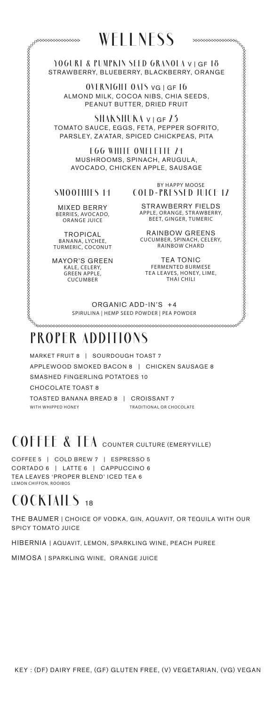### **WELLNESS**

**YOGURT & PUMPKIN SEED GRANOLA** V | GF **18**  STRAWBERRY, BLUEBERRY, BLACKBERRY, ORANGE

**OVERNIGHT OATS** VG | GF **16** ALMOND MILK, COCOA NIBS, CHIA SEEDS, PEANUT BUTTER, DRIED FRUIT

**SHAKSHUKA** V | GF **23** TOMATO SAUCE, EGGS, FETA, PEPPER SOFRITO, PARSLEY, ZA'ATAR, SPICED CHICKPEAS, PITA

> **EGG WHITE OMELETTE 24** MUSHROOMS, SPINACH, ARUGULA, AVOCADO, CHICKEN APPLE, SAUSAGE

#### **SMOOTHIES 14**

BY HAPPY MOOSE **COLD-PRESSED JUICE 12** 

MIXED BERRY BERRIES, AVOCADO, ORANGE JUICE

TROPICAL BANANA, LYCHEE, TURMERIC, COCONUT

MAYOR'S GREEN K ALE, CELERY, GREEN APPLE, **CUCUMBER** 

STRAWBERRY FIELDS APPLE, ORANGE, STRAWBERRY, BEET, GINGER, TUMERIC

RAINBOW GREENS CUCUMBER, SPINACH, CELERY, RAINBOW CHARD

TEA TONIC<br>FERMENTED BURMESE TEA LEAVES, HONEY, LIME, THAI CHILI

ORGANIC ADD-IN'S +4 SPIRULINA | HEMP SEED POWDER | PEA POWDER

### **PROPER ADDITIONS**

MARKET FRUIT 8 | SOURDOUGH TOAST 7 APPLEWOOD SMOKED BACON 8 | CHICKEN SAUSAGE 8 SMASHED FINGERLING POTATOES 10 CHOCOLATE TOAST 8 TOASTED BANANA BREAD 8 | CROISSANT 7 WITH WHIPPED HONEY **TRADITIONAL OR CHOCOLATE** 

### COFFEE & TEA COUNTER CULTURE (EMERYVILLE)

COFFEE 5 | COLD BREW 7 | ESPRESSO 5 CORTADO 6 | LATTE 6 | CAPPUCCINO 6 TEA LEAVES 'PROPER BLEND' ICED TEA 6 LEMON CHIFFON, ROOIBOS

#### **COCKTAILS** <sup>18</sup>

THE BAUMER | CHOICE OF VODKA, GIN, AQUAVIT, OR TEQUILA WITH OUR SPICY TOMATO JUICE

HIBERNIA | AQUAVIT, LEMON, SPARKLING WINE, PEACH PUREE

MIMOSA | SPARKLING WINE, ORANGE JUICE